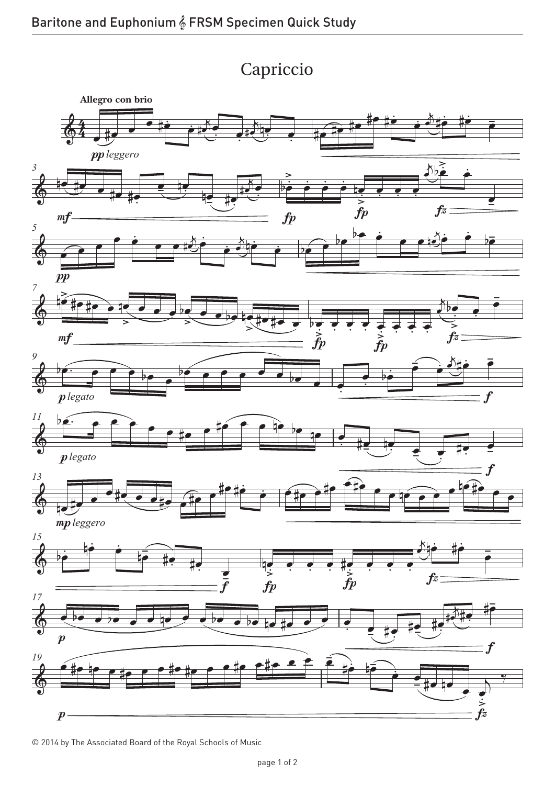



© 2014 by The Associated Board of the Royal Schools of Music